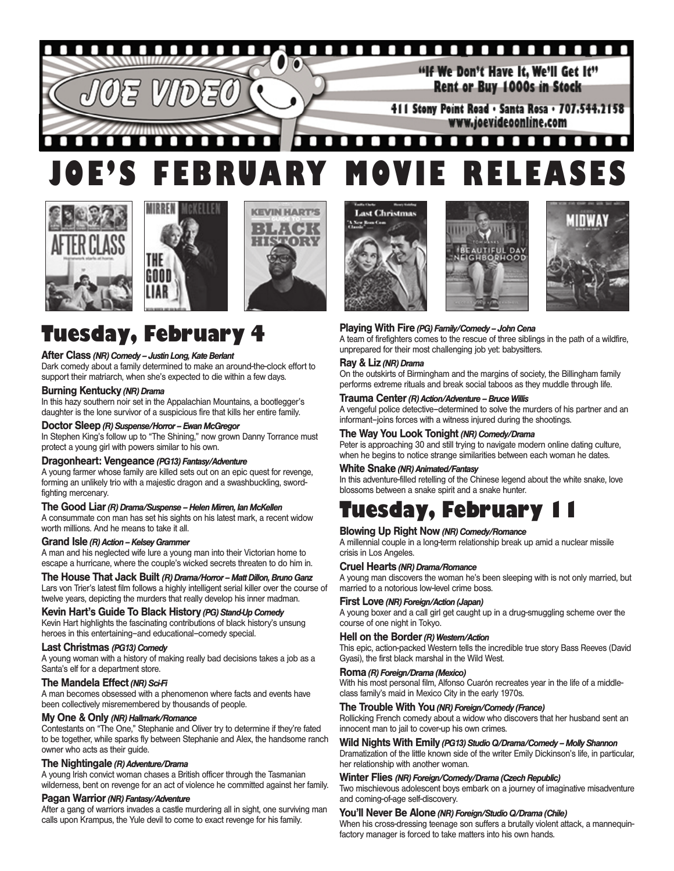#### П O О O п П п n П Ô "If We Don't Have It. We'll Get It" Rent or Buy 1000s in Stock 411 Stony Point Road · Santa Rosa · 707.544.2158 www.joevideoonline.com

#### Л П П П п П п . . . п п п п п m п п **JOE'S FEBRUARY MOVIE RELEASES**







# **Tuesday, February 4**

#### **After Class** *(NR) Comedy – Justin Long, Kate Berlant*

Dark comedy about a family determined to make an around-the-clock effort to support their matriarch, when she's expected to die within a few days.

#### **Burning Kentucky** *(NR) Drama*

In this hazy southern noir set in the Appalachian Mountains, a bootlegger's daughter is the lone survivor of a suspicious fire that kills her entire family.

#### **Doctor Sleep** *(R) Suspense/Horror – Ewan McGregor*

In Stephen King's follow up to "The Shining," now grown Danny Torrance must protect a young girl with powers similar to his own.

#### **Dragonheart: Vengeance** *(PG13) Fantasy/Adventure*

A young farmer whose family are killed sets out on an epic quest for revenge, forming an unlikely trio with a majestic dragon and a swashbuckling, swordfighting mercenary.

#### **The Good Liar** *(R) Drama/Suspense – Helen Mirren, Ian McKellen*

A consummate con man has set his sights on his latest mark, a recent widow worth millions. And he means to take it all.

#### **Grand Isle** *(R) Action – Kelsey Grammer*

A man and his neglected wife lure a young man into their Victorian home to escape a hurricane, where the couple's wicked secrets threaten to do him in.

#### **The House That Jack Built** *(R) Drama/Horror – Matt Dillon, Bruno Ganz* Lars von Trier's latest film follows a highly intelligent serial killer over the course of

twelve years, depicting the murders that really develop his inner madman.

**Kevin Hart's Guide To Black History** *(PG) Stand-Up Comedy* Kevin Hart highlights the fascinating contributions of black history's unsung heroes in this entertaining–and educational–comedy special.

#### **Last Christmas** *(PG13) Comedy*

A young woman with a history of making really bad decisions takes a job as a Santa's elf for a department store.

#### **The Mandela Effect** *(NR) Sci-Fi*

A man becomes obsessed with a phenomenon where facts and events have been collectively misremembered by thousands of people.

#### **My One & Only** *(NR) Hallmark/Romance*

Contestants on "The One," Stephanie and Oliver try to determine if they're fated to be together, while sparks fly between Stephanie and Alex, the handsome ranch owner who acts as their guide.

#### **The Nightingale** *(R) Adventure/Drama*

A young Irish convict woman chases a British officer through the Tasmanian wilderness, bent on revenge for an act of violence he committed against her family.

#### **Pagan Warrior** *(NR) Fantasy/Adventure*

After a gang of warriors invades a castle murdering all in sight, one surviving man calls upon Krampus, the Yule devil to come to exact revenge for his family.







#### **Playing With Fire** *(PG) Family/Comedy – John Cena*

A team of firefighters comes to the rescue of three siblings in the path of a wildfire, unprepared for their most challenging job yet: babysitters.

#### **Ray & Liz** *(NR) Drama*

On the outskirts of Birmingham and the margins of society, the Billingham family performs extreme rituals and break social taboos as they muddle through life.

#### **Trauma Center** *(R) Action/Adventure – Bruce Willis*

A vengeful police detective–determined to solve the murders of his partner and an informant–joins forces with a witness injured during the shootings.

#### **The Way You Look Tonight** *(NR) Comedy/Drama*

Peter is approaching 30 and still trying to navigate modern online dating culture, when he begins to notice strange similarities between each woman he dates.

#### **White Snake** *(NR) Animated/Fantasy*

In this adventure-filled retelling of the Chinese legend about the white snake, love blossoms between a snake spirit and a snake hunter.

## **Tuesday, February 11**

#### **Blowing Up Right Now** *(NR) Comedy/Romance*

A millennial couple in a long-term relationship break up amid a nuclear missile crisis in Los Angeles.

#### **Cruel Hearts** *(NR) Drama/Romance*

A young man discovers the woman he's been sleeping with is not only married, but married to a notorious low-level crime boss.

#### **First Love** *(NR) Foreign/Action (Japan)*

A young boxer and a call girl get caught up in a drug-smuggling scheme over the course of one night in Tokyo.

#### **Hell on the Border** *(R) Western/Action*

This epic, action-packed Western tells the incredible true story Bass Reeves (David Gyasi), the first black marshal in the Wild West.

#### **Roma** *(R) Foreign/Drama (Mexico)*

With his most personal film, Alfonso Cuarón recreates year in the life of a middleclass family's maid in Mexico City in the early 1970s.

#### **The Trouble With You** *(NR) Foreign/Comedy (France)*

Rollicking French comedy about a widow who discovers that her husband sent an innocent man to jail to cover-up his own crimes.

**Wild Nights With Emily** *(PG13) Studio Q/Drama/Comedy – Molly Shannon* Dramatization of the little known side of the writer Emily Dickinson's life, in particular, her relationship with another woman.

#### **Winter Flies** *(NR) Foreign/Comedy/Drama (Czech Republic)*

Two mischievous adolescent boys embark on a journey of imaginative misadventure and coming-of-age self-discovery.

#### **You'll Never Be Alone** *(NR) Foreign/Studio Q/Drama (Chile)*

When his cross-dressing teenage son suffers a brutally violent attack, a mannequinfactory manager is forced to take matters into his own hands.